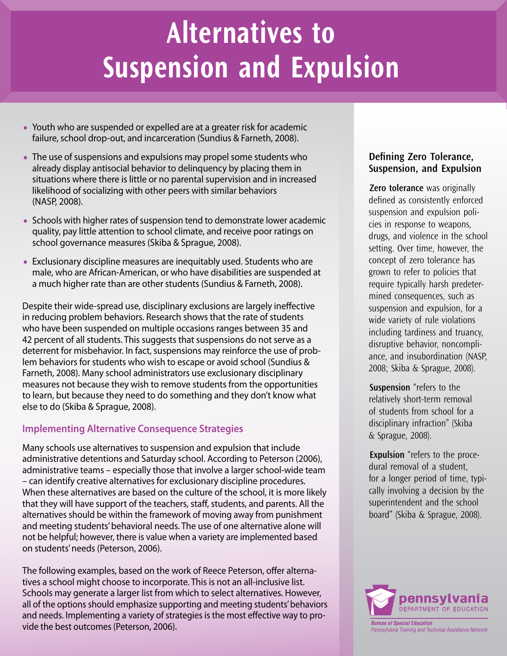# **Alternatives to Suspension and Expulsion**

- Youth who are suspended or expelled are at a greater risk for academic failure, school drop-out, and incarceration (Sundius & Farneth, 2008).
- The use of suspensions and expulsions may propel some students who already display antisocial behavior to delinquency by placing them in situations where there is little or no parental supervision and in increased likelihood of socializing with other peers with similar behaviors (NASP, 2008).
- Schools with higher rates of suspension tend to demonstrate lower academic quality, pay little attention to school climate, and receive poor ratings on school governance measures (Skiba & Sprague, 2008).
- Exclusionary discipline measures are inequitably used. Students who are male, who are African-American, or who have disabilities are suspended at a much higher rate than are other students (Sundius & Farneth, 2008).

Despite their wide-spread use, disciplinary exclusions are largely ineffective in reducing problem behaviors. Research shows that the rate of students who have been suspended on multiple occasions ranges between 35 and 42 percent of all students. This suggests that suspensions do not serve as a deterrent for misbehavior. In fact, suspensions may reinforce the use of problem behaviors for students who wish to escape or avoid school (Sundius & Farneth, 2008). Many school administrators use exclusionary disciplinary measures not because they wish to remove students from the opportunities to learn, but because they need to do something and they don't know what else to do (Skiba & Sprague, 2008).

## **Implementing Alternative Consequence Strategies**

Many schools use alternatives to suspension and expulsion that include administrative detentions and Saturday school. According to Peterson (2006), administrative teams – especially those that involve a larger school-wide team – can identify creative alternatives for exclusionary discipline procedures. When these alternatives are based on the culture of the school, it is more likely that they will have support of the teachers, staff, students, and parents. All the alternatives should be within the framework of moving away from punishment and meeting students' behavioral needs. The use of one alternative alone will not be helpful; however, there is value when a variety are implemented based on students' needs (Peterson, 2006).

The following examples, based on the work of Reece Peterson, offer alternatives a school might choose to incorporate. This is not an all-inclusive list. Schools may generate a larger list from which to select alternatives. However, all of the options should emphasize supporting and meeting students' behaviors and needs. Implementing a variety of strategies is the most effective way to provide the best outcomes (Peterson, 2006).

#### **Defining Zero Tolerance, Suspension, and Expulsion**

**Zero tolerance** was originally defined as consistently enforced suspension and expulsion policies in response to weapons, drugs, and violence in the school setting. Over time, however, the concept of zero tolerance has grown to refer to policies that require typically harsh predetermined consequences, such as suspension and expulsion, for a wide variety of rule violations including tardiness and truancy, disruptive behavior, noncompliance, and insubordination (NASP, 2008; Skiba & Sprague, 2008).

**Suspension** "refers to the relatively short-term removal of students from school for a disciplinary infraction" (Skiba & Sprague, 2008).

**Expulsion** "refers to the procedural removal of a student, for a longer period of time, typically involving a decision by the superintendent and the school board" (Skiba & Sprague, 2008).

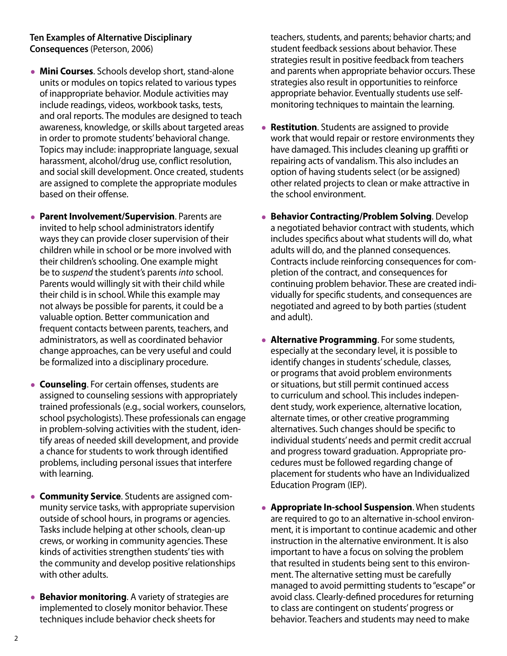#### **Ten Examples of Alternative Disciplinary Consequences** (Peterson, 2006)

- **Mini Courses**. Schools develop short, stand-alone units or modules on topics related to various types of inappropriate behavior. Module activities may include readings, videos, workbook tasks, tests, and oral reports. The modules are designed to teach awareness, knowledge, or skills about targeted areas in order to promote students' behavioral change. Topics may include: inappropriate language, sexual harassment, alcohol/drug use, conflict resolution, and social skill development. Once created, students are assigned to complete the appropriate modules based on their offense.
- **Parent Involvement/Supervision**. Parents are invited to help school administrators identify ways they can provide closer supervision of their children while in school or be more involved with their children's schooling. One example might be to *suspend* the student's parents *into* school. Parents would willingly sit with their child while their child is in school. While this example may not always be possible for parents, it could be a valuable option. Better communication and frequent contacts between parents, teachers, and administrators, as well as coordinated behavior change approaches, can be very useful and could be formalized into a disciplinary procedure.
- **Counseling**. For certain offenses, students are assigned to counseling sessions with appropriately trained professionals (e.g., social workers, counselors, school psychologists). These professionals can engage in problem-solving activities with the student, identify areas of needed skill development, and provide a chance for students to work through identified problems, including personal issues that interfere with learning.
- **Community Service**. Students are assigned community service tasks, with appropriate supervision outside of school hours, in programs or agencies. Tasks include helping at other schools, clean-up crews, or working in community agencies. These kinds of activities strengthen students' ties with the community and develop positive relationships with other adults.
- **Behavior monitoring**. A variety of strategies are implemented to closely monitor behavior. These techniques include behavior check sheets for

teachers, students, and parents; behavior charts; and student feedback sessions about behavior. These strategies result in positive feedback from teachers and parents when appropriate behavior occurs. These strategies also result in opportunities to reinforce appropriate behavior. Eventually students use selfmonitoring techniques to maintain the learning.

- **Restitution**. Students are assigned to provide work that would repair or restore environments they have damaged. This includes cleaning up graffiti or repairing acts of vandalism. This also includes an option of having students select (or be assigned) other related projects to clean or make attractive in the school environment.
- **Behavior Contracting/Problem Solving**. Develop a negotiated behavior contract with students, which includes specifics about what students will do, what adults will do, and the planned consequences. Contracts include reinforcing consequences for completion of the contract, and consequences for continuing problem behavior. These are created individually for specific students, and consequences are negotiated and agreed to by both parties (student and adult).
- **Alternative Programming**. For some students, especially at the secondary level, it is possible to identify changes in students' schedule, classes, or programs that avoid problem environments or situations, but still permit continued access to curriculum and school. This includes independent study, work experience, alternative location, alternate times, or other creative programming alternatives. Such changes should be specific to individual students' needs and permit credit accrual and progress toward graduation. Appropriate procedures must be followed regarding change of placement for students who have an Individualized Education Program (IEP).
- **Appropriate In-school Suspension**. When students are required to go to an alternative in-school environment, it is important to continue academic and other instruction in the alternative environment. It is also important to have a focus on solving the problem that resulted in students being sent to this environment. The alternative setting must be carefully managed to avoid permitting students to "escape" or avoid class. Clearly-defined procedures for returning to class are contingent on students' progress or behavior. Teachers and students may need to make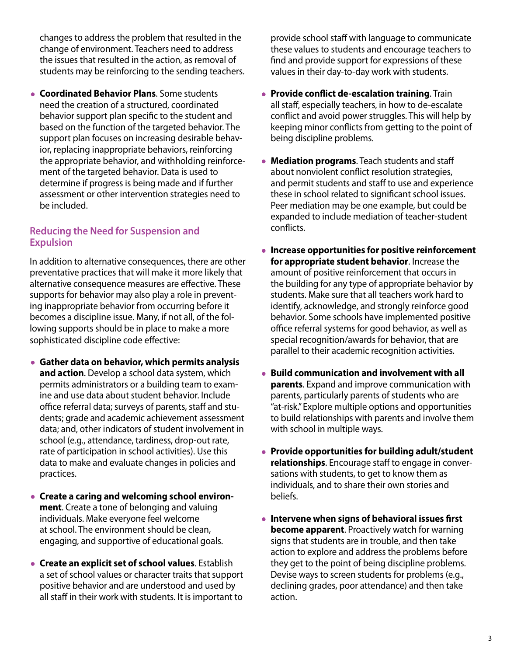changes to address the problem that resulted in the change of environment. Teachers need to address the issues that resulted in the action, as removal of students may be reinforcing to the sending teachers.

• **Coordinated Behavior Plans**. Some students need the creation of a structured, coordinated behavior support plan specific to the student and based on the function of the targeted behavior. The support plan focuses on increasing desirable behavior, replacing inappropriate behaviors, reinforcing the appropriate behavior, and withholding reinforcement of the targeted behavior. Data is used to determine if progress is being made and if further assessment or other intervention strategies need to be included.

#### **Reducing the Need for Suspension and Expulsion**

In addition to alternative consequences, there are other preventative practices that will make it more likely that alternative consequence measures are effective. These supports for behavior may also play a role in preventing inappropriate behavior from occurring before it becomes a discipline issue. Many, if not all, of the following supports should be in place to make a more sophisticated discipline code effective:

- **Gather data on behavior, which permits analysis and action**. Develop a school data system, which permits administrators or a building team to examine and use data about student behavior. Include office referral data; surveys of parents, staff and students; grade and academic achievement assessment data; and, other indicators of student involvement in school (e.g., attendance, tardiness, drop-out rate, rate of participation in school activities). Use this data to make and evaluate changes in policies and practices.
- **Create a caring and welcoming school environment**. Create a tone of belonging and valuing individuals. Make everyone feel welcome at school. The environment should be clean, engaging, and supportive of educational goals.
- **Create an explicit set of school values**. Establish a set of school values or character traits that support positive behavior and are understood and used by all staff in their work with students. It is important to

provide school staff with language to communicate these values to students and encourage teachers to find and provide support for expressions of these values in their day-to-day work with students.

- **Provide conflict de-escalation training**. Train all staff, especially teachers, in how to de-escalate conflict and avoid power struggles. This will help by keeping minor conflicts from getting to the point of being discipline problems.
- **Mediation programs**. Teach students and staff about nonviolent conflict resolution strategies, and permit students and staff to use and experience these in school related to significant school issues. Peer mediation may be one example, but could be expanded to include mediation of teacher-student conflicts.
- **Increase opportunities for positive reinforcement for appropriate student behavior**. Increase the amount of positive reinforcement that occurs in the building for any type of appropriate behavior by students. Make sure that all teachers work hard to identify, acknowledge, and strongly reinforce good behavior. Some schools have implemented positive office referral systems for good behavior, as well as special recognition/awards for behavior, that are parallel to their academic recognition activities.
- **Build communication and involvement with all parents**. Expand and improve communication with parents, particularly parents of students who are "at-risk." Explore multiple options and opportunities to build relationships with parents and involve them with school in multiple ways.
- **Provide opportunities for building adult/student relationships**. Encourage staff to engage in conversations with students, to get to know them as individuals, and to share their own stories and beliefs.
- **Intervene when signs of behavioral issues first become apparent**. Proactively watch for warning signs that students are in trouble, and then take action to explore and address the problems before they get to the point of being discipline problems. Devise ways to screen students for problems (e.g., declining grades, poor attendance) and then take action.